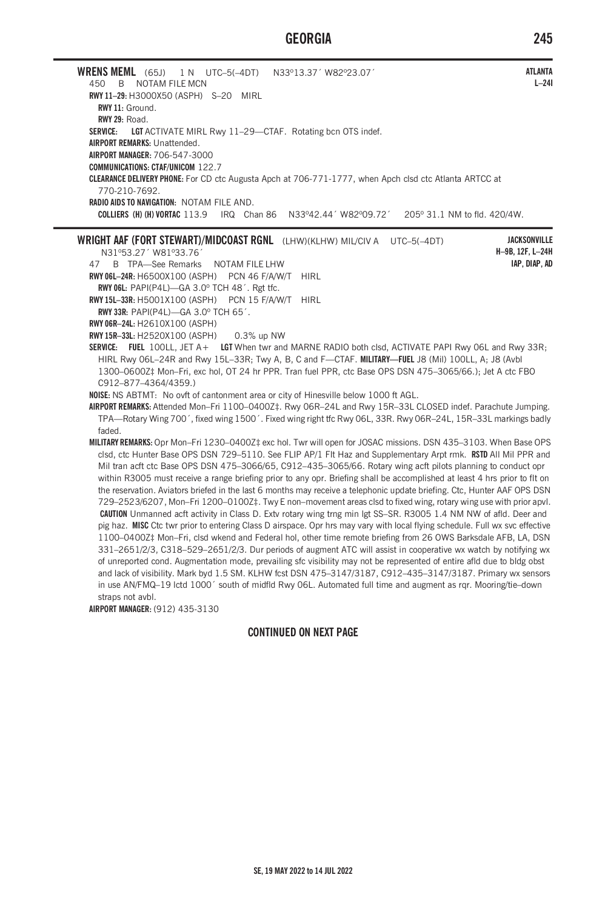## **GEORGIA 245**

**WRENS MEML** (65J) 1 N UTC–5(–4DT) N33º13.37´ W82º23.07´ 450 B NOTAM FILE MCN **RWY 11–29:** H3000X50 (ASPH) S–20 MIRL **RWY 11:** Ground. **RWY 29:** Road. SERVICE: LGT ACTIVATE MIRL Rwy 11-29-CTAF. Rotating bcn OTS indef. **AIRPORT REMARKS:** Unattended. **AIRPORT MANAGER:** 706-547-3000 **COMMUNICATIONS: CTAF/UNICOM** 122.7 **CLEARANCE DELIVERY PHONE:** For CD ctc Augusta Apch at 706-771-1777, when Apch clsd ctc Atlanta ARTCC at 770-210-7692. **RADIO AIDS TO NAVIGATION:** NOTAM FILE AND. **COLLIERS (H) (H) VORTAC** 113.9 IRQ Chan 86 N33º42.44´ W82º09.72´ 205º 31.1 NM to fld. 420/4W. **WRIGHT AAF (FORT STEWART)/MIDCOAST RGNL** (LHW)(KLHW) MIL/CIV A UTC–5(–4DT) N31º53.27´ W81º33.76´ 47 B TPA—See Remarks NOTAM FILE LHW **RWY 06L–24R:** H6500X100 (ASPH) PCN 46 F/A/W/T HIRL **RWY 06L:** PAPI(P4L)—GA 3.0º TCH 48´. Rgt tfc. **RWY 15L–33R:** H5001X100 (ASPH) PCN 15 F/A/W/T HIRL **RWY 33R:** PAPI(P4L)—GA 3.0º TCH 65´. **RWY 06R–24L:** H2610X100 (ASPH) **RWY 15R–33L:** H2520X100 (ASPH) 0.3% up NW **SERVICE: FUEL** 100LL, JET A+ **LGT** When twr and MARNE RADIO both clsd, ACTIVATE PAPI Rwy 06L and Rwy 33R; HIRL Rwy 06L–24R and Rwy 15L–33R; Twy A, B, C and F—CTAF. **MILITARY—FUEL** J8 (Mil) 100LL, A; J8 (Avbl 1300–0600Z‡ Mon–Fri, exc hol, OT 24 hr PPR. Tran fuel PPR, ctc Base OPS DSN 475–3065/66.); Jet A ctc FBO C912–877–4364/4359.) **NOISE:** NS ABTMT: No ovft of cantonment area or city of Hinesville below 1000 ft AGL. **AIRPORT REMARKS:** Attended Mon–Fri 1100–0400Z‡. Rwy 06R–24L and Rwy 15R–33L CLOSED indef. Parachute Jumping. TPA—Rotary Wing 700´, fixed wing 1500´. Fixed wing right tfc Rwy 06L, 33R. Rwy 06R–24L, 15R–33L markings badly faded. **MILITARY REMARKS:** Opr Mon–Fri 1230–0400Z‡ exc hol. Twr will open for JOSAC missions. DSN 435–3103. When Base OPS clsd, ctc Hunter Base OPS DSN 729–5110. See FLIP AP/1 Flt Haz and Supplementary Arpt rmk. **RSTD** All Mil PPR and Mil tran acft ctc Base OPS DSN 475–3066/65, C912–435–3065/66. Rotary wing acft pilots planning to conduct opr within R3005 must receive a range briefing prior to any opr. Briefing shall be accomplished at least 4 hrs prior to flt on the reservation. Aviators briefed in the last 6 months may receive a telephonic update briefing. Ctc, Hunter AAF OPS DSN 729–2523/6207, Mon–Fri 1200–0100Z‡. Twy E non–movement areas clsd to fixed wing, rotary wing use with prior apvl. **CAUTION** Unmanned acft activity in Class D. Extv rotary wing trng min lgt SS–SR. R3005 1.4 NM NW of afld. Deer and pig haz. **MISC** Ctc twr prior to entering Class D airspace. Opr hrs may vary with local flying schedule. Full wx svc effective 1100–0400Z‡ Mon–Fri, clsd wkend and Federal hol, other time remote briefing from 26 OWS Barksdale AFB, LA, DSN 331–2651/2/3, C318–529–2651/2/3. Dur periods of augment ATC will assist in cooperative wx watch by notifying wx of unreported cond. Augmentation mode, prevailing sfc visibility may not be represented of entire afld due to bldg obst and lack of visibility. Mark byd 1.5 SM. KLHW fcst DSN 475–3147/3187, C912–435–3147/3187. Primary wx sensors in use AN/FMQ–19 lctd 1000´ south of midfld Rwy 06L. Automated full time and augment as rqr. Mooring/tie–down straps not avbl. **AIRPORT MANAGER:** (912) 435-3130 **ATLANTA L–24I JACKSONVILLE H–9B, 12F, L–24H IAP, DIAP, AD**

## **CONTINUED ON NEXT PAGE**